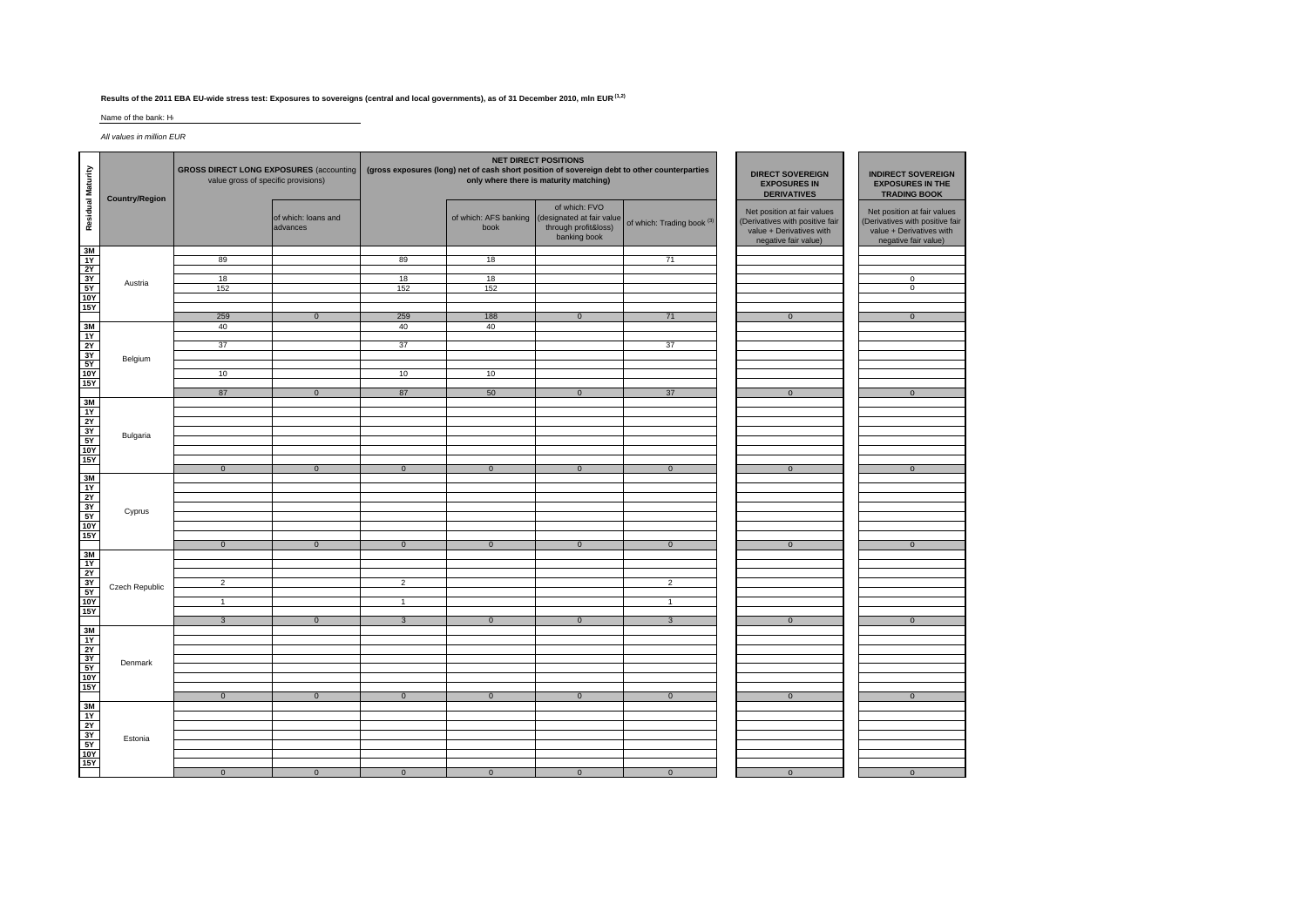## **Results of the 2011 EBA EU-wide stress test: Exposures to sovereigns (central and local governments), as of 31 December 2010, mln EUR (1,2)**

Name of the bank: He

*All values in million EUR*

| Residual Maturity                 | <b>Country/Region</b> | <b>GROSS DIRECT LONG EXPOSURES (accounting)</b><br>value gross of specific provisions) |                                 | <b>NET DIRECT POSITIONS</b><br>(gross exposures (long) net of cash short position of sovereign debt to other counterparties<br>only where there is maturity matching) |                               |                                                                                    |                                       | <b>DIRECT SOVEREIGN</b><br><b>EXPOSURES IN</b><br><b>DERIVATIVES</b>                                               | <b>INDIRECT SOVEREIGN</b><br><b>EXPOSURES IN THE</b><br><b>TRADING BOOK</b>                                        |
|-----------------------------------|-----------------------|----------------------------------------------------------------------------------------|---------------------------------|-----------------------------------------------------------------------------------------------------------------------------------------------------------------------|-------------------------------|------------------------------------------------------------------------------------|---------------------------------------|--------------------------------------------------------------------------------------------------------------------|--------------------------------------------------------------------------------------------------------------------|
|                                   |                       |                                                                                        | of which: loans and<br>advances |                                                                                                                                                                       | of which: AFS banking<br>book | of which: FVO<br>(designated at fair value<br>through profit&loss)<br>banking book | of which: Trading book <sup>(3)</sup> | Net position at fair values<br>(Derivatives with positive fair<br>value + Derivatives with<br>negative fair value) | Net position at fair values<br>(Derivatives with positive fair<br>value + Derivatives with<br>negative fair value) |
| ᄛᅔᇯᅕᇥ                             |                       | 89                                                                                     |                                 | 89                                                                                                                                                                    | 18                            |                                                                                    | 71                                    |                                                                                                                    |                                                                                                                    |
|                                   |                       |                                                                                        |                                 |                                                                                                                                                                       |                               |                                                                                    |                                       |                                                                                                                    |                                                                                                                    |
|                                   | Austria               | 18                                                                                     |                                 | 18                                                                                                                                                                    | 18                            |                                                                                    |                                       |                                                                                                                    | $\overline{0}$                                                                                                     |
|                                   |                       | 152                                                                                    |                                 | 152                                                                                                                                                                   | 152                           |                                                                                    |                                       |                                                                                                                    | $\overline{0}$                                                                                                     |
|                                   |                       |                                                                                        |                                 |                                                                                                                                                                       |                               |                                                                                    |                                       |                                                                                                                    |                                                                                                                    |
|                                   |                       | 259                                                                                    | $\overline{0}$                  | 259                                                                                                                                                                   | 188                           | $\overline{0}$                                                                     | 71                                    | $\overline{0}$                                                                                                     | $\overline{0}$                                                                                                     |
|                                   |                       | 40                                                                                     |                                 | 40                                                                                                                                                                    | 40                            |                                                                                    |                                       |                                                                                                                    |                                                                                                                    |
|                                   |                       | 37                                                                                     |                                 | 37                                                                                                                                                                    |                               |                                                                                    | 37                                    |                                                                                                                    |                                                                                                                    |
|                                   | Belgium               |                                                                                        |                                 |                                                                                                                                                                       |                               |                                                                                    |                                       |                                                                                                                    |                                                                                                                    |
| 3<br>3Y<br>5Y<br>5Y<br>10Y<br>15Y |                       |                                                                                        |                                 |                                                                                                                                                                       |                               |                                                                                    |                                       |                                                                                                                    |                                                                                                                    |
|                                   |                       | 10                                                                                     |                                 | 10                                                                                                                                                                    | 10                            |                                                                                    |                                       |                                                                                                                    |                                                                                                                    |
|                                   |                       | 87                                                                                     | $\overline{0}$                  | 87                                                                                                                                                                    | 50                            | $\mathbf 0$                                                                        | 37                                    | $\mathbf{0}$                                                                                                       | $\overline{0}$                                                                                                     |
| 영역원                               |                       |                                                                                        |                                 |                                                                                                                                                                       |                               |                                                                                    |                                       |                                                                                                                    |                                                                                                                    |
|                                   |                       |                                                                                        |                                 |                                                                                                                                                                       |                               |                                                                                    |                                       |                                                                                                                    |                                                                                                                    |
|                                   |                       |                                                                                        |                                 |                                                                                                                                                                       |                               |                                                                                    |                                       |                                                                                                                    |                                                                                                                    |
|                                   | Bulgaria              |                                                                                        |                                 |                                                                                                                                                                       |                               |                                                                                    |                                       |                                                                                                                    |                                                                                                                    |
|                                   |                       |                                                                                        |                                 |                                                                                                                                                                       |                               |                                                                                    |                                       |                                                                                                                    |                                                                                                                    |
|                                   |                       | $\overline{0}$                                                                         | $\overline{0}$                  | $\overline{0}$                                                                                                                                                        | $\overline{0}$                | $\overline{0}$                                                                     | $\overline{0}$                        | $\mathbf 0$                                                                                                        | $\overline{0}$                                                                                                     |
| ᄛᅔᅕᇬᇮ                             |                       |                                                                                        |                                 |                                                                                                                                                                       |                               |                                                                                    |                                       |                                                                                                                    |                                                                                                                    |
|                                   |                       |                                                                                        |                                 |                                                                                                                                                                       |                               |                                                                                    |                                       |                                                                                                                    |                                                                                                                    |
|                                   |                       |                                                                                        |                                 |                                                                                                                                                                       |                               |                                                                                    |                                       |                                                                                                                    |                                                                                                                    |
|                                   | Cyprus                |                                                                                        |                                 |                                                                                                                                                                       |                               |                                                                                    |                                       |                                                                                                                    |                                                                                                                    |
|                                   |                       |                                                                                        |                                 |                                                                                                                                                                       |                               |                                                                                    |                                       |                                                                                                                    |                                                                                                                    |
|                                   |                       | $\overline{0}$                                                                         | $\overline{0}$                  | $\overline{0}$                                                                                                                                                        | $\overline{0}$                | $\overline{0}$                                                                     | $\overline{0}$                        | $\overline{0}$                                                                                                     | $\overline{0}$                                                                                                     |
|                                   |                       |                                                                                        |                                 |                                                                                                                                                                       |                               |                                                                                    |                                       |                                                                                                                    |                                                                                                                    |
|                                   |                       |                                                                                        |                                 |                                                                                                                                                                       |                               |                                                                                    |                                       |                                                                                                                    |                                                                                                                    |
| 을 수 있는                            |                       | 2                                                                                      |                                 | 2                                                                                                                                                                     |                               |                                                                                    | $\overline{2}$                        |                                                                                                                    |                                                                                                                    |
|                                   | Czech Republic        |                                                                                        |                                 |                                                                                                                                                                       |                               |                                                                                    |                                       |                                                                                                                    |                                                                                                                    |
|                                   |                       | $\mathbf{1}$                                                                           |                                 | $\mathbf{1}$                                                                                                                                                          |                               |                                                                                    | $\mathbf{1}$                          |                                                                                                                    |                                                                                                                    |
| 15Y                               |                       | $\mathbf{3}$                                                                           | $\mathbf{0}$                    | $\mathbf{3}$                                                                                                                                                          | $\mathbf{0}$                  | $\mathbf{0}$                                                                       | $\mathbf{3}$                          | $\mathbf{0}$                                                                                                       | $\overline{0}$                                                                                                     |
|                                   |                       |                                                                                        |                                 |                                                                                                                                                                       |                               |                                                                                    |                                       |                                                                                                                    |                                                                                                                    |
| 통기성성호                             |                       |                                                                                        |                                 |                                                                                                                                                                       |                               |                                                                                    |                                       |                                                                                                                    |                                                                                                                    |
|                                   |                       |                                                                                        |                                 |                                                                                                                                                                       |                               |                                                                                    |                                       |                                                                                                                    |                                                                                                                    |
|                                   | Denmark               |                                                                                        |                                 |                                                                                                                                                                       |                               |                                                                                    |                                       |                                                                                                                    |                                                                                                                    |
|                                   |                       |                                                                                        |                                 |                                                                                                                                                                       |                               |                                                                                    |                                       |                                                                                                                    |                                                                                                                    |
|                                   |                       |                                                                                        |                                 |                                                                                                                                                                       |                               |                                                                                    |                                       |                                                                                                                    |                                                                                                                    |
|                                   |                       | $\overline{0}$                                                                         | $\overline{0}$                  | $\overline{0}$                                                                                                                                                        | $\overline{0}$                | $\overline{0}$                                                                     | $\overline{0}$                        | $\overline{0}$                                                                                                     | $\overline{0}$                                                                                                     |
|                                   |                       |                                                                                        |                                 |                                                                                                                                                                       |                               |                                                                                    |                                       |                                                                                                                    |                                                                                                                    |
|                                   |                       |                                                                                        |                                 |                                                                                                                                                                       |                               |                                                                                    |                                       |                                                                                                                    |                                                                                                                    |
|                                   | Estonia               |                                                                                        |                                 |                                                                                                                                                                       |                               |                                                                                    |                                       |                                                                                                                    |                                                                                                                    |
| <u> 행지 정치 정치</u>                  |                       |                                                                                        |                                 |                                                                                                                                                                       |                               |                                                                                    |                                       |                                                                                                                    |                                                                                                                    |
|                                   |                       |                                                                                        |                                 |                                                                                                                                                                       |                               |                                                                                    |                                       |                                                                                                                    |                                                                                                                    |
|                                   |                       | $\mathbf{0}$                                                                           | $\mathbf 0$                     | $\overline{0}$                                                                                                                                                        | $\mathbf{0}$                  | $\mathbf{0}$                                                                       | $\overline{0}$                        | $\mathbf{0}$                                                                                                       | $\overline{0}$                                                                                                     |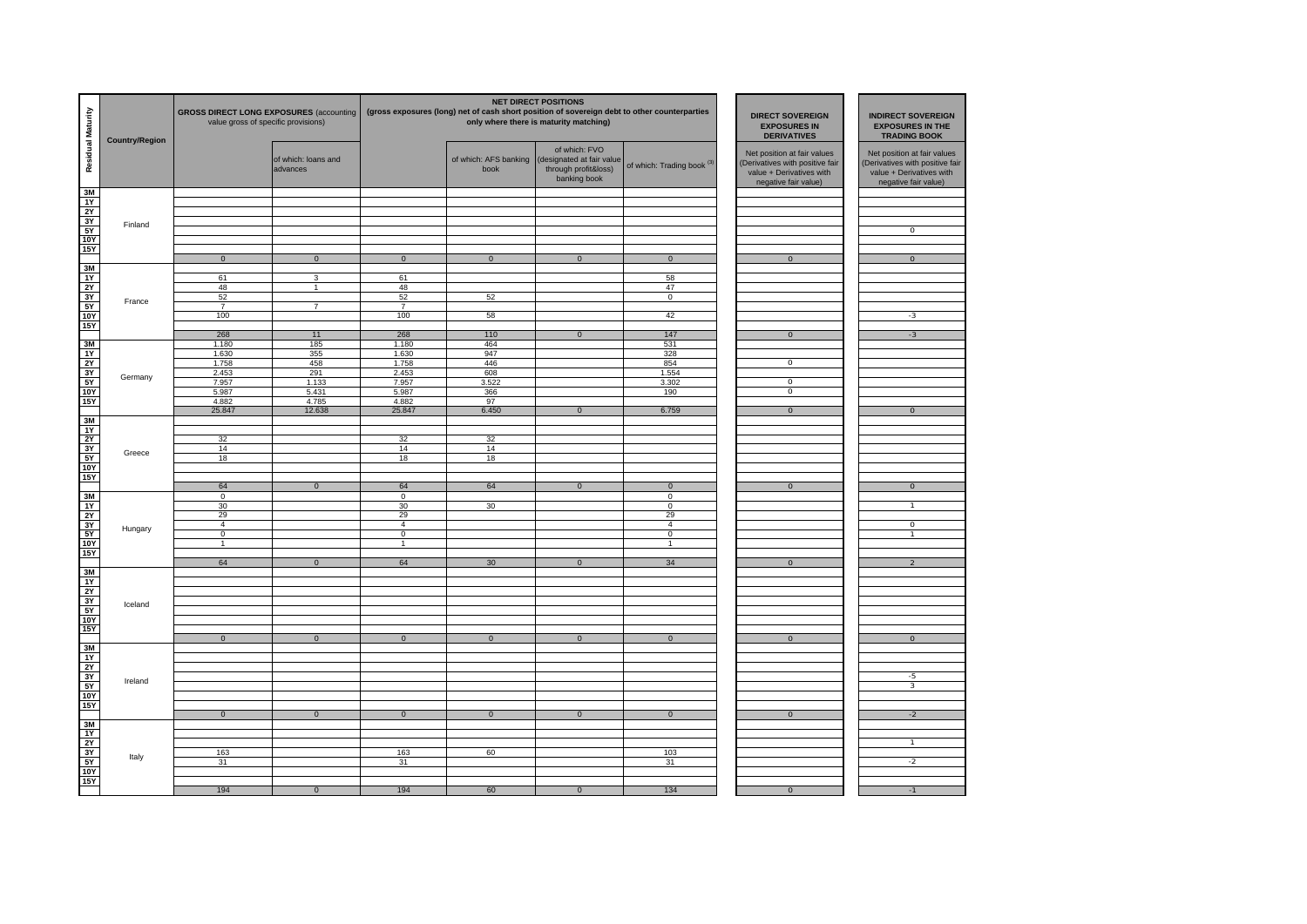| Residual Maturity                                            | <b>Country/Region</b> | <b>GROSS DIRECT LONG EXPOSURES (accounting</b><br>value gross of specific provisions) |                                 |                                  |                               | <b>NET DIRECT POSITIONS</b><br>(gross exposures (long) net of cash short position of sovereign debt to other counterparties<br>only where there is maturity matching) | <b>DIRECT SOVEREIGN</b><br><b>EXPOSURES IN</b><br><b>DERIVATIVES</b> | <b>INDIRECT SOVEREIGN</b><br><b>EXPOSURES IN THE</b><br><b>TRADING BOOK</b>                                       |                                                                                                                    |
|--------------------------------------------------------------|-----------------------|---------------------------------------------------------------------------------------|---------------------------------|----------------------------------|-------------------------------|-----------------------------------------------------------------------------------------------------------------------------------------------------------------------|----------------------------------------------------------------------|-------------------------------------------------------------------------------------------------------------------|--------------------------------------------------------------------------------------------------------------------|
|                                                              |                       |                                                                                       | of which: loans and<br>advances |                                  | of which: AFS banking<br>book | of which: FVO<br>designated at fair value<br>through profit&loss)<br>banking book                                                                                     | of which: Trading book <sup>(3)</sup>                                | Net position at fair values<br>Derivatives with positive fair<br>value + Derivatives with<br>negative fair value) | Net position at fair values<br>(Derivatives with positive fair<br>value + Derivatives with<br>negative fair value) |
| 3M<br>1Y                                                     |                       |                                                                                       |                                 |                                  |                               |                                                                                                                                                                       |                                                                      |                                                                                                                   |                                                                                                                    |
| 2Y                                                           |                       |                                                                                       |                                 |                                  |                               |                                                                                                                                                                       |                                                                      |                                                                                                                   |                                                                                                                    |
| 3Y<br>5Y                                                     | Finland               |                                                                                       |                                 |                                  |                               |                                                                                                                                                                       |                                                                      |                                                                                                                   | 0                                                                                                                  |
| 10Y                                                          |                       |                                                                                       |                                 |                                  |                               |                                                                                                                                                                       |                                                                      |                                                                                                                   |                                                                                                                    |
| <b>15Y</b>                                                   |                       | $\overline{0}$                                                                        | $\overline{0}$                  | $\overline{0}$                   | $\overline{0}$                | $\overline{0}$                                                                                                                                                        | $\overline{0}$                                                       | $\overline{0}$                                                                                                    | $\overline{0}$                                                                                                     |
| $\frac{3M}{1Y}$                                              |                       |                                                                                       |                                 |                                  |                               |                                                                                                                                                                       |                                                                      |                                                                                                                   |                                                                                                                    |
|                                                              |                       | 61<br>48                                                                              | 3<br>$\mathbf{1}$               | 61<br>48                         |                               |                                                                                                                                                                       | 58<br>47                                                             |                                                                                                                   |                                                                                                                    |
| $rac{3Y}{5Y}$                                                | France                | 52                                                                                    |                                 | 52                               | 52                            |                                                                                                                                                                       | $\overline{0}$                                                       |                                                                                                                   |                                                                                                                    |
| 10Y                                                          |                       | $\overline{7}$<br>100                                                                 | $\overline{7}$                  | $\overline{7}$<br>100            | 58                            |                                                                                                                                                                       | 42                                                                   |                                                                                                                   | $-3$                                                                                                               |
| <b>15Y</b>                                                   |                       |                                                                                       |                                 |                                  |                               |                                                                                                                                                                       |                                                                      |                                                                                                                   |                                                                                                                    |
| 3M                                                           |                       | 268<br>1.180                                                                          | 11<br>185                       | 268<br>1.180                     | 110<br>464                    | $\overline{0}$                                                                                                                                                        | 147<br>531                                                           | $\overline{0}$                                                                                                    | $-3$                                                                                                               |
| 1Y                                                           |                       | 1.630                                                                                 | 355                             | 1.630                            | 947                           |                                                                                                                                                                       | 328                                                                  |                                                                                                                   |                                                                                                                    |
| <b>2Y</b><br>3Y                                              |                       | 1.758<br>2.453                                                                        | 458<br>291                      | 1.758<br>2.453                   | 446<br>608                    |                                                                                                                                                                       | 854<br>1.554                                                         | $\overline{0}$                                                                                                    |                                                                                                                    |
| 5Y                                                           | Germany               | 7.957                                                                                 | 1.133                           | 7.957                            | 3.522                         |                                                                                                                                                                       | 3.302                                                                | $\overline{0}$                                                                                                    |                                                                                                                    |
| <b>10Y</b><br><b>15Y</b>                                     |                       | 5.987<br>4.882                                                                        | 5.431<br>4.785                  | 5.987<br>4.882                   | 366<br>97                     |                                                                                                                                                                       | 190                                                                  | $\overline{0}$                                                                                                    |                                                                                                                    |
|                                                              |                       | 25.847                                                                                | 12.638                          | 25.847                           | 6.450                         | $\mathbf 0$                                                                                                                                                           | 6.759                                                                | $\mathbf{0}$                                                                                                      | $\overline{0}$                                                                                                     |
| 3M<br>1Y                                                     |                       |                                                                                       |                                 |                                  |                               |                                                                                                                                                                       |                                                                      |                                                                                                                   |                                                                                                                    |
| 2Y                                                           |                       | 32                                                                                    |                                 | 32                               | 32                            |                                                                                                                                                                       |                                                                      |                                                                                                                   |                                                                                                                    |
| 3Y<br>5Y                                                     | Greece                | 14<br>18                                                                              |                                 | 14<br>18                         | 14<br>18                      |                                                                                                                                                                       |                                                                      |                                                                                                                   |                                                                                                                    |
| <b>10Y</b>                                                   |                       |                                                                                       |                                 |                                  |                               |                                                                                                                                                                       |                                                                      |                                                                                                                   |                                                                                                                    |
| <b>15Y</b>                                                   |                       | 64                                                                                    | $\overline{0}$                  | 64                               | 64                            | $\overline{0}$                                                                                                                                                        |                                                                      |                                                                                                                   | $\overline{0}$                                                                                                     |
|                                                              |                       | $\mathsf 0$                                                                           |                                 | $\mathsf 0$                      |                               |                                                                                                                                                                       | $\mathbf{0}$<br>$\mathbf 0$                                          | $\mathbf{0}$                                                                                                      |                                                                                                                    |
| $\frac{3M}{1Y}$                                              |                       | 30                                                                                    |                                 | 30                               | 30                            |                                                                                                                                                                       | $\overline{0}$                                                       |                                                                                                                   | $\mathbf{1}$                                                                                                       |
| 2Y<br>3Y                                                     |                       | 29<br>$\overline{4}$                                                                  |                                 | 29<br>$\overline{4}$             |                               |                                                                                                                                                                       | 29<br>$\overline{4}$                                                 |                                                                                                                   | 0                                                                                                                  |
| 5Y                                                           | Hungary               | $\overline{0}$                                                                        |                                 | $\overline{0}$<br>$\overline{1}$ |                               |                                                                                                                                                                       | $\overline{0}$                                                       |                                                                                                                   | T                                                                                                                  |
| 10Y<br><b>15Y</b>                                            |                       | $\overline{1}$                                                                        |                                 |                                  |                               |                                                                                                                                                                       | $\overline{1}$                                                       |                                                                                                                   |                                                                                                                    |
|                                                              |                       | 64                                                                                    | $\mathbf{0}$                    | 64                               | 30                            | $\mathbf{0}$                                                                                                                                                          | 34                                                                   | $\mathbf{0}$                                                                                                      | $\overline{2}$                                                                                                     |
| 3M<br>1Y                                                     |                       |                                                                                       |                                 |                                  |                               |                                                                                                                                                                       |                                                                      |                                                                                                                   |                                                                                                                    |
| 2Y                                                           |                       |                                                                                       |                                 |                                  |                               |                                                                                                                                                                       |                                                                      |                                                                                                                   |                                                                                                                    |
| 3Y<br>5Y                                                     | Iceland               |                                                                                       |                                 |                                  |                               |                                                                                                                                                                       |                                                                      |                                                                                                                   |                                                                                                                    |
| <b>10Y</b>                                                   |                       |                                                                                       |                                 |                                  |                               |                                                                                                                                                                       |                                                                      |                                                                                                                   |                                                                                                                    |
| <b>15Y</b>                                                   |                       | $\mathbf{0}$                                                                          | $\overline{0}$                  | $\mathbf{0}$                     | $\overline{0}$                | $\Omega$                                                                                                                                                              | $\Omega$                                                             | $\mathbf{0}$                                                                                                      | $\overline{0}$                                                                                                     |
| $\frac{3M}{1Y}$                                              |                       |                                                                                       |                                 |                                  |                               |                                                                                                                                                                       |                                                                      |                                                                                                                   |                                                                                                                    |
|                                                              |                       |                                                                                       |                                 |                                  |                               |                                                                                                                                                                       |                                                                      |                                                                                                                   |                                                                                                                    |
| $\begin{array}{c}\n 2Y \\  3Y \\  \hline\n 5Y\n \end{array}$ | Ireland               |                                                                                       |                                 |                                  |                               |                                                                                                                                                                       |                                                                      |                                                                                                                   | $-5$                                                                                                               |
| <b>10Y</b>                                                   |                       |                                                                                       |                                 |                                  |                               |                                                                                                                                                                       |                                                                      |                                                                                                                   | 3                                                                                                                  |
| <b>15Y</b>                                                   |                       |                                                                                       |                                 |                                  |                               |                                                                                                                                                                       |                                                                      |                                                                                                                   |                                                                                                                    |
|                                                              |                       | $\overline{0}$                                                                        | $\overline{0}$                  | $\overline{0}$                   | $\overline{0}$                | $\overline{0}$                                                                                                                                                        | $\overline{0}$                                                       | $\overline{0}$                                                                                                    | $-2$                                                                                                               |
| $\frac{3M}{1Y}$                                              |                       |                                                                                       |                                 |                                  |                               |                                                                                                                                                                       |                                                                      |                                                                                                                   |                                                                                                                    |
| 2Y                                                           |                       | 163                                                                                   |                                 | 163                              | 60                            |                                                                                                                                                                       | 103                                                                  |                                                                                                                   | $\overline{1}$                                                                                                     |
| $\frac{3Y}{5Y}$                                              | Italy                 | 31                                                                                    |                                 | 31                               |                               |                                                                                                                                                                       | 31                                                                   |                                                                                                                   | $-2$                                                                                                               |
| <b>15Y</b>                                                   |                       |                                                                                       |                                 |                                  |                               |                                                                                                                                                                       |                                                                      |                                                                                                                   |                                                                                                                    |
|                                                              |                       | 194                                                                                   | $\overline{0}$                  | 194                              | 60                            | $\Omega$                                                                                                                                                              | 134                                                                  | $\Omega$                                                                                                          | $-1$                                                                                                               |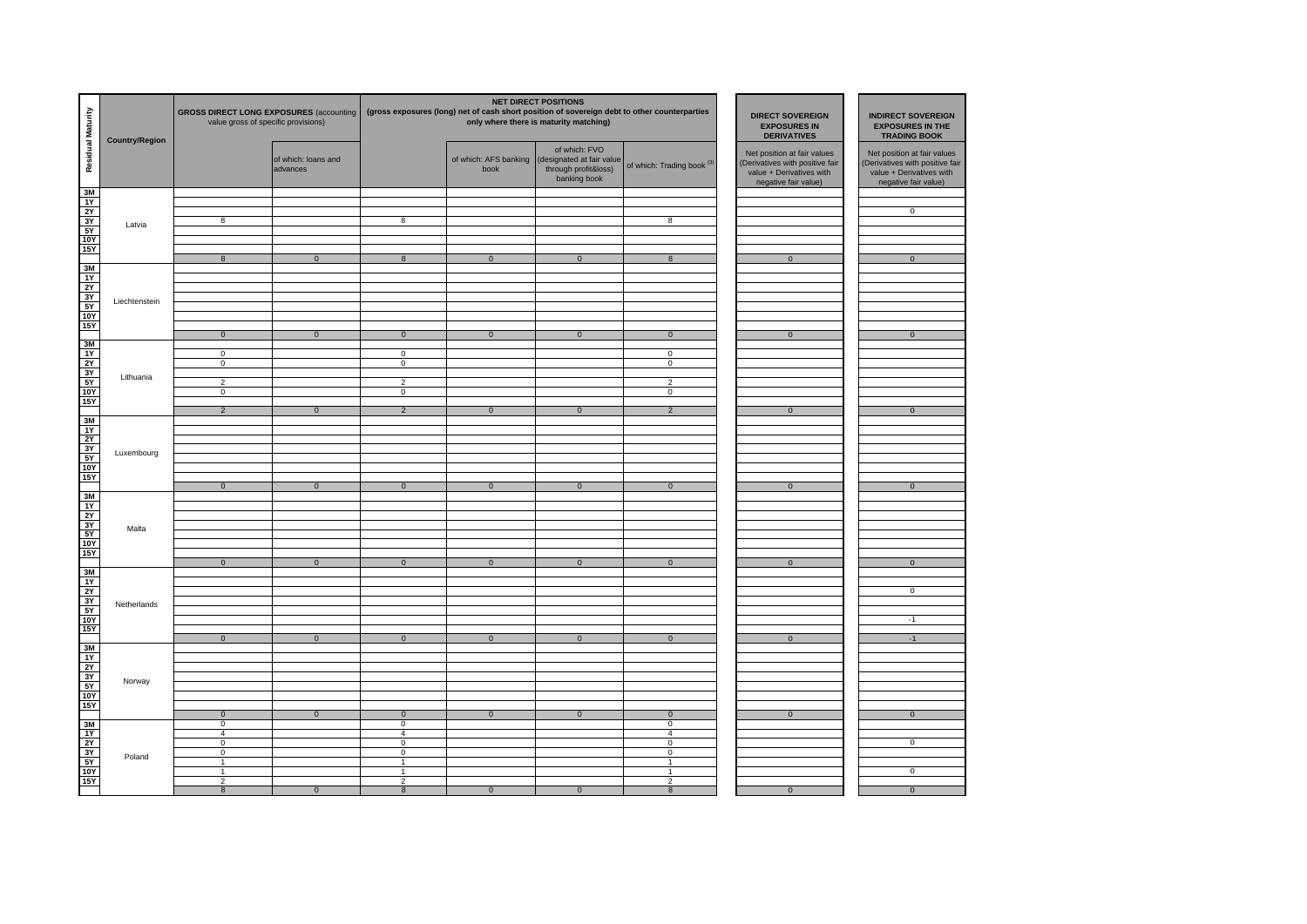| Residual Maturity                                                               | <b>Country/Region</b> | <b>GROSS DIRECT LONG EXPOSURES (accounting</b><br>value gross of specific provisions) |                                 | <b>NET DIRECT POSITIONS</b><br>(gross exposures (long) net of cash short position of sovereign debt to other counterparties<br>only where there is maturity matching) |                |                                                                                                          |                                                    | <b>DIRECT SOVEREIGN</b><br><b>EXPOSURES IN</b><br><b>DERIVATIVES</b>                                               | <b>INDIRECT SOVEREIGN</b><br><b>EXPOSURES IN THE</b><br><b>TRADING BOOK</b>                                        |
|---------------------------------------------------------------------------------|-----------------------|---------------------------------------------------------------------------------------|---------------------------------|-----------------------------------------------------------------------------------------------------------------------------------------------------------------------|----------------|----------------------------------------------------------------------------------------------------------|----------------------------------------------------|--------------------------------------------------------------------------------------------------------------------|--------------------------------------------------------------------------------------------------------------------|
| 3M                                                                              |                       |                                                                                       | of which: loans and<br>advances |                                                                                                                                                                       | book           | of which: FVO<br>of which: AFS banking (designated at fair value<br>through profit&loss)<br>banking book | of which: Trading book <sup>(3)</sup>              | Net position at fair values<br>(Derivatives with positive fair<br>value + Derivatives with<br>negative fair value) | Net position at fair values<br>(Derivatives with positive fair<br>value + Derivatives with<br>negative fair value) |
| 1Y<br>$\begin{array}{c}\n 2Y \\  3Y \\  \hline\n 5Y\n \end{array}$              | Latvia                | 8                                                                                     |                                 | $\overline{\mathbf{8}}$                                                                                                                                               |                |                                                                                                          | 8                                                  |                                                                                                                    | $\overline{0}$                                                                                                     |
| <b>10Y</b><br><b>15Y</b>                                                        |                       | $\boldsymbol{8}$                                                                      | $\overline{0}$                  | 8                                                                                                                                                                     | $\overline{0}$ | $\overline{0}$                                                                                           | 8                                                  | $\overline{0}$                                                                                                     | $\overline{0}$                                                                                                     |
| $\frac{3M}{1Y}$<br>2Y                                                           |                       |                                                                                       |                                 |                                                                                                                                                                       |                |                                                                                                          |                                                    |                                                                                                                    |                                                                                                                    |
| $\frac{31}{51}$<br><b>15Y</b>                                                   | Liechtenstein         |                                                                                       |                                 |                                                                                                                                                                       |                |                                                                                                          |                                                    |                                                                                                                    |                                                                                                                    |
| 3M                                                                              |                       | $\overline{0}$<br>$\mathsf 0$<br>$\overline{0}$                                       | $\overline{0}$                  | $\overline{0}$<br>$\overline{0}$<br>$\overline{0}$                                                                                                                    | $\overline{0}$ | $\overline{0}$                                                                                           | $\overline{0}$<br>$\mathbf 0$<br>$\overline{0}$    | $\overline{0}$                                                                                                     | $\overline{0}$                                                                                                     |
| $\frac{11}{21}$ $\frac{11}{21}$ $\frac{11}{21}$ $\frac{11}{21}$ $\frac{11}{21}$ | Lithuania             | $\overline{2}$<br>$\mathsf 0$                                                         |                                 | $\overline{2}$<br>$\overline{0}$                                                                                                                                      |                |                                                                                                          | $\overline{2}$<br>0                                |                                                                                                                    |                                                                                                                    |
|                                                                                 |                       | $\overline{2}$                                                                        | $\mathbf 0$                     | $\overline{2}$                                                                                                                                                        | $\mathbf 0$    | $\mathbf{0}$                                                                                             | $\overline{2}$                                     | $\mathbf 0$                                                                                                        | $\mathbf{0}$                                                                                                       |
| 용는 저 여 후                                                                        | Luxembourg            |                                                                                       |                                 |                                                                                                                                                                       |                |                                                                                                          |                                                    |                                                                                                                    |                                                                                                                    |
|                                                                                 |                       | $\overline{0}$                                                                        | $\overline{0}$                  | $\overline{0}$                                                                                                                                                        | $\overline{0}$ | $\overline{0}$                                                                                           | $\overline{0}$                                     | $\overline{0}$                                                                                                     | $\overline{0}$                                                                                                     |
| 3M<br>1Y<br>2Y<br>3Y<br>5Y<br>5Y<br>10Y<br>15Y                                  | Malta                 |                                                                                       |                                 |                                                                                                                                                                       |                |                                                                                                          |                                                    |                                                                                                                    |                                                                                                                    |
|                                                                                 |                       | $\mathbf 0$                                                                           | $\mathbf 0$                     | $\mathbf 0$                                                                                                                                                           | $\mathbf 0$    | $\mathbf{0}$                                                                                             | $\mathbf 0$                                        | $\mathbf 0$                                                                                                        | $\mathbf{0}$                                                                                                       |
| 횖는혀히                                                                            | Netherlands           |                                                                                       |                                 |                                                                                                                                                                       |                |                                                                                                          |                                                    |                                                                                                                    | $\,0\,$<br>$-1$                                                                                                    |
|                                                                                 |                       | $\mathbf 0$                                                                           | $\mathbf{0}$                    | $\overline{0}$                                                                                                                                                        | $\mathbf 0$    | $\mathbf 0$                                                                                              | $\mathbf 0$                                        | $\mathbf 0$                                                                                                        | $-1$                                                                                                               |
| 용는정칭이                                                                           | Norway                |                                                                                       |                                 |                                                                                                                                                                       |                |                                                                                                          |                                                    |                                                                                                                    |                                                                                                                    |
|                                                                                 |                       | $\mathbf 0$<br>$\mathsf 0$                                                            | $\mathbf{0}$                    | $\mathbf 0$<br>$\mathsf 0$                                                                                                                                            | $\overline{0}$ | $\mathbf{0}$                                                                                             | $\mathbf 0$<br>0                                   | $\mathbf 0$                                                                                                        | $\mathbf{0}$                                                                                                       |
| 일치정성                                                                            | Poland                | $\overline{4}$<br>$\mathsf 0$<br>$\mathsf 0$<br>$\mathbf{1}$                          |                                 | $\overline{4}$<br>$\mathsf 0$<br>$\mathsf 0$<br>$\overline{1}$                                                                                                        |                |                                                                                                          | $\overline{4}$<br>0<br>0<br>$\mathbf{1}$           |                                                                                                                    | $^{\circ}$                                                                                                         |
| <b>15Y</b>                                                                      |                       | 1<br>$\overline{2}$<br>$\boldsymbol{8}$                                               | $\overline{0}$                  | $\overline{1}$<br>$\overline{2}$<br>$\delta$                                                                                                                          | $\overline{0}$ | $\overline{0}$                                                                                           | $\overline{1}$<br>$\overline{2}$<br>$\overline{8}$ | $\overline{0}$                                                                                                     | $\overline{0}$<br>$\overline{0}$                                                                                   |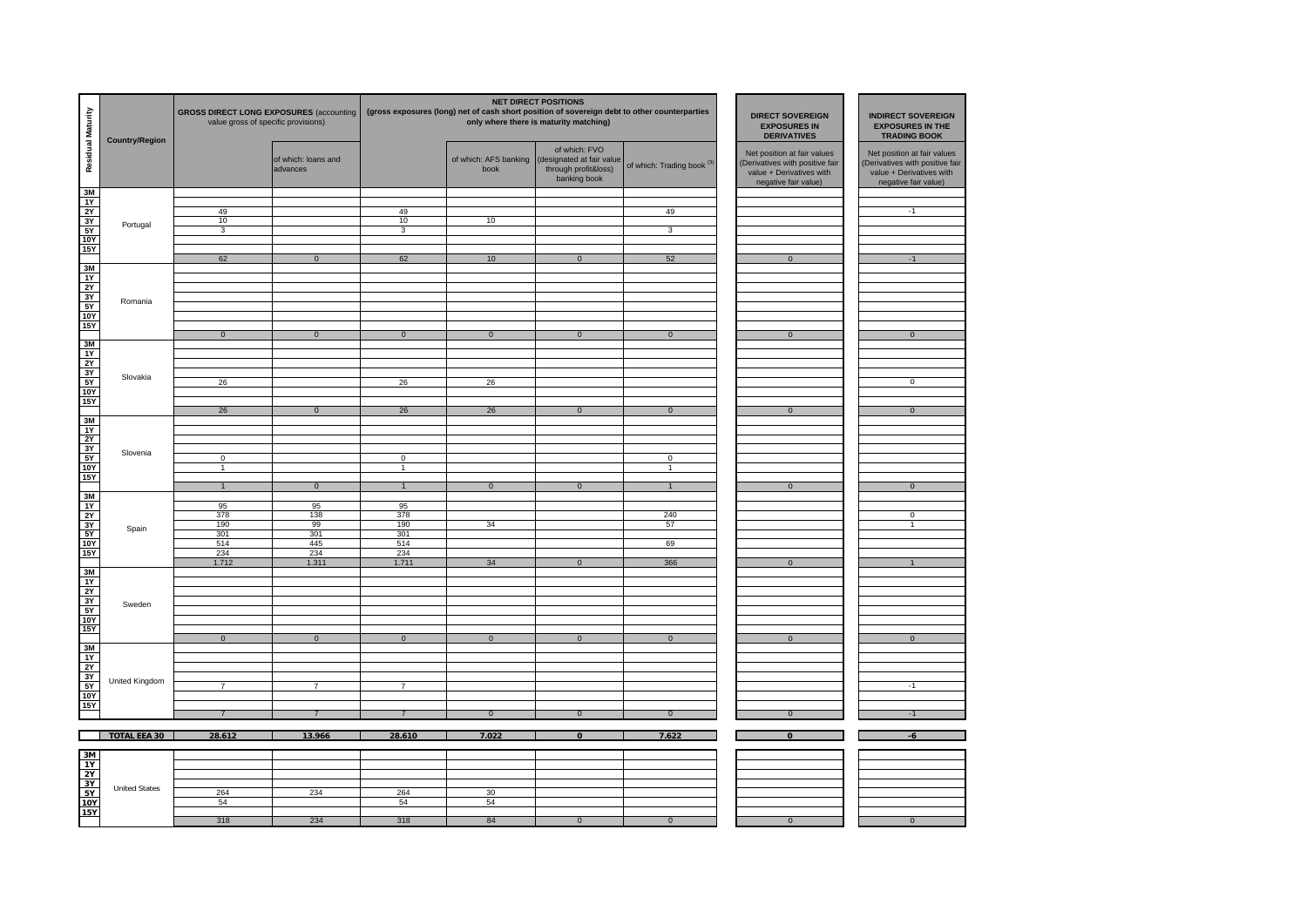| Residual Maturity                                                              | <b>Country/Region</b> | <b>GROSS DIRECT LONG EXPOSURES (accounting</b><br>value gross of specific provisions) |                                 | <b>NET DIRECT POSITIONS</b><br>(gross exposures (long) net of cash short position of sovereign debt to other counterparties<br>only where there is maturity matching) |                               |                                                                                    |                            | <b>DIRECT SOVEREIGN</b><br><b>EXPOSURES IN</b><br><b>DERIVATIVES</b>                                               | <b>INDIRECT SOVEREIGN</b><br><b>EXPOSURES IN THE</b><br><b>TRADING BOOK</b>                                       |
|--------------------------------------------------------------------------------|-----------------------|---------------------------------------------------------------------------------------|---------------------------------|-----------------------------------------------------------------------------------------------------------------------------------------------------------------------|-------------------------------|------------------------------------------------------------------------------------|----------------------------|--------------------------------------------------------------------------------------------------------------------|-------------------------------------------------------------------------------------------------------------------|
|                                                                                |                       |                                                                                       | of which: loans and<br>advances |                                                                                                                                                                       | of which: AFS banking<br>book | of which: FVO<br>(designated at fair value<br>through profit&loss)<br>banking book | of which: Trading book (3) | Net position at fair values<br>(Derivatives with positive fair<br>value + Derivatives with<br>negative fair value) | Net position at fair values<br>Derivatives with positive fair<br>value + Derivatives with<br>negative fair value) |
| $\frac{3M}{1Y}$                                                                |                       |                                                                                       |                                 |                                                                                                                                                                       |                               |                                                                                    |                            |                                                                                                                    |                                                                                                                   |
| $\frac{2Y}{3Y}$                                                                |                       | 49<br>10                                                                              |                                 | 49<br>10                                                                                                                                                              | 10                            |                                                                                    | 49                         |                                                                                                                    | $-1$                                                                                                              |
|                                                                                | Portugal              | $\overline{3}$                                                                        |                                 | $\overline{3}$                                                                                                                                                        |                               |                                                                                    | $\overline{3}$             |                                                                                                                    |                                                                                                                   |
| <b>10Y</b><br><b>15Y</b>                                                       |                       |                                                                                       |                                 |                                                                                                                                                                       |                               |                                                                                    |                            |                                                                                                                    |                                                                                                                   |
| 3M                                                                             |                       | 62                                                                                    | $\overline{0}$                  | 62                                                                                                                                                                    | 10                            | $\overline{0}$                                                                     | 52                         | $\overline{0}$                                                                                                     | $-1$                                                                                                              |
| 1Y                                                                             |                       |                                                                                       |                                 |                                                                                                                                                                       |                               |                                                                                    |                            |                                                                                                                    |                                                                                                                   |
| $\frac{\frac{11}{21}}{\frac{31}{51}}$                                          | Romania               |                                                                                       |                                 |                                                                                                                                                                       |                               |                                                                                    |                            |                                                                                                                    |                                                                                                                   |
| 10Y                                                                            |                       |                                                                                       |                                 |                                                                                                                                                                       |                               |                                                                                    |                            |                                                                                                                    |                                                                                                                   |
| 15Y                                                                            |                       |                                                                                       |                                 |                                                                                                                                                                       |                               |                                                                                    |                            |                                                                                                                    |                                                                                                                   |
|                                                                                |                       | $\bf{0}$                                                                              | $\mathbf 0$                     | $\overline{0}$                                                                                                                                                        | $\overline{0}$                | $\mathbf{0}$                                                                       | $\mathbf 0$                | $\mathbf{0}$                                                                                                       | $\overline{0}$                                                                                                    |
| $\frac{3M}{1Y}$                                                                |                       |                                                                                       |                                 |                                                                                                                                                                       |                               |                                                                                    |                            |                                                                                                                    |                                                                                                                   |
| 3Y                                                                             | Slovakia              | 26                                                                                    |                                 | 26                                                                                                                                                                    | 26                            |                                                                                    |                            |                                                                                                                    | $\overline{0}$                                                                                                    |
| 5Y<br><b>10Y</b>                                                               |                       |                                                                                       |                                 |                                                                                                                                                                       |                               |                                                                                    |                            |                                                                                                                    |                                                                                                                   |
| <b>15Y</b>                                                                     |                       | 26                                                                                    | $\overline{0}$                  | 26                                                                                                                                                                    | 26                            | $\overline{0}$                                                                     | $\overline{0}$             | $\overline{0}$                                                                                                     | $\overline{0}$                                                                                                    |
| 3M<br>1Y                                                                       |                       |                                                                                       |                                 |                                                                                                                                                                       |                               |                                                                                    |                            |                                                                                                                    |                                                                                                                   |
| 2Y                                                                             |                       |                                                                                       |                                 |                                                                                                                                                                       |                               |                                                                                    |                            |                                                                                                                    |                                                                                                                   |
| $rac{3Y}{5Y}$                                                                  | Slovenia              | $\overline{0}$                                                                        |                                 | $\mathsf 0$                                                                                                                                                           |                               |                                                                                    | $\mathbf 0$                |                                                                                                                    |                                                                                                                   |
| <b>10Y</b><br>15Y                                                              |                       | $\overline{1}$                                                                        |                                 | $\mathbf{1}$                                                                                                                                                          |                               |                                                                                    | $\overline{1}$             |                                                                                                                    |                                                                                                                   |
|                                                                                |                       | $\overline{1}$                                                                        | $\overline{0}$                  | $\overline{1}$                                                                                                                                                        | $\overline{0}$                | $\overline{0}$                                                                     | $\overline{1}$             | $\overline{0}$                                                                                                     | $\overline{0}$                                                                                                    |
| $\frac{3M}{1Y}$                                                                |                       | 95                                                                                    | 95                              | 95                                                                                                                                                                    |                               |                                                                                    |                            |                                                                                                                    |                                                                                                                   |
| <b>2Y</b>                                                                      |                       | 378<br>190                                                                            | 138<br>99                       | 378<br>190                                                                                                                                                            | 34                            |                                                                                    | 240<br>57                  |                                                                                                                    | $\overline{0}$<br>T                                                                                               |
| $\frac{3Y}{5Y}$                                                                | Spain                 | 301                                                                                   | 301                             | 301                                                                                                                                                                   |                               |                                                                                    |                            |                                                                                                                    |                                                                                                                   |
| 10Y<br><b>15Y</b>                                                              |                       | 514<br>234                                                                            | 445<br>234                      | 514<br>234                                                                                                                                                            |                               |                                                                                    | 69                         |                                                                                                                    |                                                                                                                   |
| 3M                                                                             |                       | 1.712                                                                                 | 1.311                           | 1.711                                                                                                                                                                 | 34                            | $\mathbf 0$                                                                        | 366                        | $\mathbf 0$                                                                                                        | $\mathbf{1}$                                                                                                      |
|                                                                                |                       |                                                                                       |                                 |                                                                                                                                                                       |                               |                                                                                    |                            |                                                                                                                    |                                                                                                                   |
| $\frac{11}{2Y}$ $\frac{2Y}{3Y}$                                                | Sweden                |                                                                                       |                                 |                                                                                                                                                                       |                               |                                                                                    |                            |                                                                                                                    |                                                                                                                   |
| 5Y<br>10Y                                                                      |                       |                                                                                       |                                 |                                                                                                                                                                       |                               |                                                                                    |                            |                                                                                                                    |                                                                                                                   |
| <b>15Y</b>                                                                     |                       |                                                                                       |                                 |                                                                                                                                                                       |                               |                                                                                    |                            |                                                                                                                    |                                                                                                                   |
| $\frac{3M}{1Y}$                                                                |                       | $\overline{0}$                                                                        | $\overline{0}$                  | $\overline{0}$                                                                                                                                                        | $\overline{0}$                | $\overline{0}$                                                                     | $\overline{0}$             | $\overline{0}$                                                                                                     | $\overline{0}$                                                                                                    |
|                                                                                |                       |                                                                                       |                                 |                                                                                                                                                                       |                               |                                                                                    |                            |                                                                                                                    |                                                                                                                   |
|                                                                                | United Kingdom        |                                                                                       |                                 |                                                                                                                                                                       |                               |                                                                                    |                            |                                                                                                                    |                                                                                                                   |
| $\begin{array}{r}\n 2Y \\  3Y \\  5Y \\  \hline\n 10Y \\  15Y\n\end{array}$    |                       | $\overline{7}$                                                                        | $\overline{7}$                  | $\overline{7}$                                                                                                                                                        |                               |                                                                                    |                            |                                                                                                                    | $-1$                                                                                                              |
|                                                                                |                       |                                                                                       |                                 |                                                                                                                                                                       | $\overline{0}$                | $\overline{0}$                                                                     | $\overline{0}$             | $\Omega$                                                                                                           | $-1$                                                                                                              |
|                                                                                |                       |                                                                                       |                                 |                                                                                                                                                                       |                               |                                                                                    |                            |                                                                                                                    |                                                                                                                   |
|                                                                                | <b>TOTAL EEA 30</b>   | 28.612                                                                                | 13.966                          | 28.610                                                                                                                                                                | 7.022                         | $\Omega$                                                                           | 7.622                      | $\Omega$                                                                                                           | -6                                                                                                                |
| $\frac{3M}{1Y}$                                                                |                       |                                                                                       |                                 |                                                                                                                                                                       |                               |                                                                                    |                            |                                                                                                                    |                                                                                                                   |
|                                                                                |                       |                                                                                       |                                 |                                                                                                                                                                       |                               |                                                                                    |                            |                                                                                                                    |                                                                                                                   |
| $\begin{array}{c}\n\cdot \cdot \cdot \\ \hline\n3Y \\ \hline\n5Y\n\end{array}$ | <b>United States</b>  | 264                                                                                   | 234                             | 264                                                                                                                                                                   | 30                            |                                                                                    |                            |                                                                                                                    |                                                                                                                   |
| <b>10Y</b><br>15Y                                                              |                       | 54                                                                                    |                                 | 54                                                                                                                                                                    | 54                            |                                                                                    |                            |                                                                                                                    |                                                                                                                   |
|                                                                                |                       | 318                                                                                   | 234                             | 318                                                                                                                                                                   | 84                            | $\overline{0}$                                                                     | $\overline{0}$             | $\overline{0}$                                                                                                     | $\overline{0}$                                                                                                    |